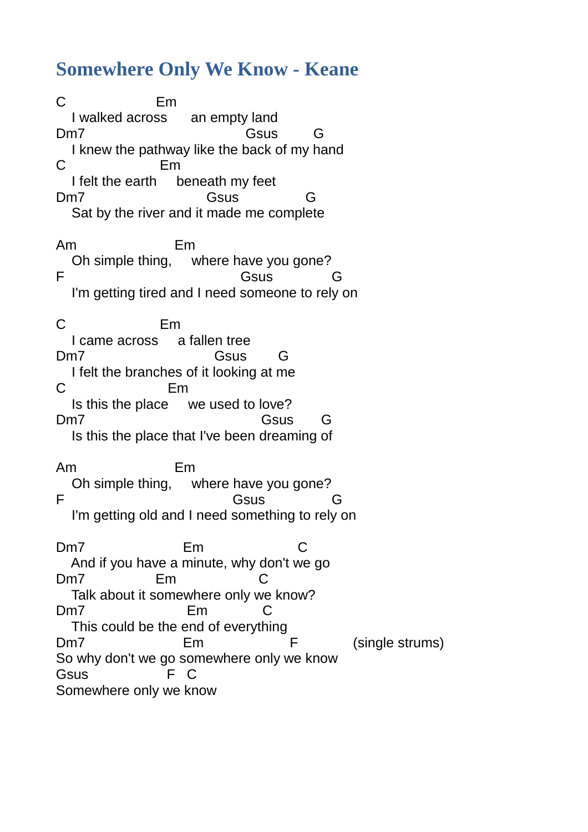## **Somewhere Only We Know - Keane**

C Em I walked across an empty land Dm7 Gsus G I knew the pathway like the back of my hand C Em I felt the earth beneath my feet Dm7 Gsus G Sat by the river and it made me complete Am Em Oh simple thing, where have you gone? F Gsus Gsus G I'm getting tired and I need someone to rely on C Em I came across a fallen tree Dm7 Gsus G I felt the branches of it looking at me C Em Is this the place we used to love? Dm7 Gsus G Is this the place that I've been dreaming of Am Em Oh simple thing, where have you gone? F Gsus Gsus G I'm getting old and I need something to rely on Dm7 Em C And if you have a minute, why don't we go Dm7 Em C Talk about it somewhere only we know? Dm7 Em C This could be the end of everything Dm7 Em F (single strums) So why don't we go somewhere only we know Gsus F C Somewhere only we know